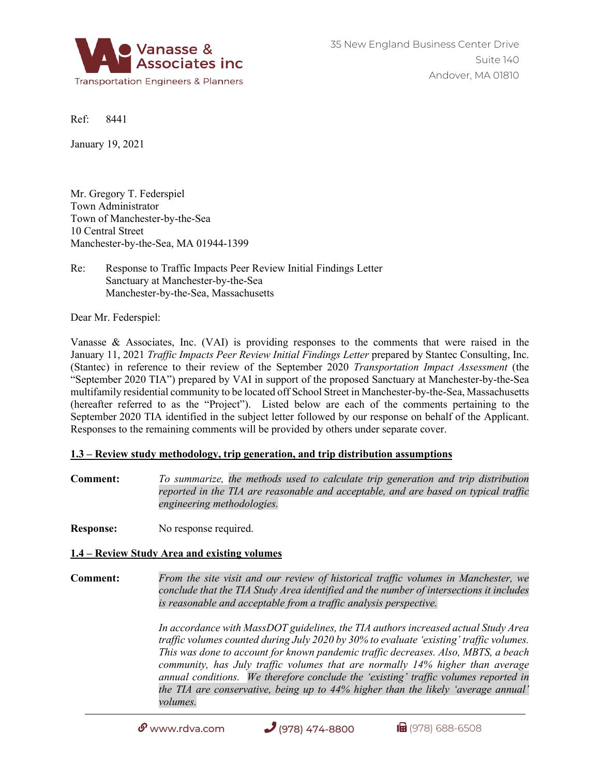

Ref: 8441

January 19, 2021

Mr. Gregory T. Federspiel Town Administrator Town of Manchester-by-the-Sea 10 Central Street Manchester-by-the-Sea, MA 01944-1399

Re: Response to Traffic Impacts Peer Review Initial Findings Letter Sanctuary at Manchester-by-the-Sea Manchester-by-the-Sea, Massachusetts

Dear Mr. Federspiel:

Vanasse & Associates, Inc. (VAI) is providing responses to the comments that were raised in the January 11, 2021 *Traffic Impacts Peer Review Initial Findings Letter* prepared by Stantec Consulting, Inc. (Stantec) in reference to their review of the September 2020 *Transportation Impact Assessment* (the "September 2020 TIA") prepared by VAI in support of the proposed Sanctuary at Manchester-by-the-Sea multifamily residential community to be located off School Street in Manchester-by-the-Sea, Massachusetts (hereafter referred to as the "Project"). Listed below are each of the comments pertaining to the September 2020 TIA identified in the subject letter followed by our response on behalf of the Applicant. Responses to the remaining comments will be provided by others under separate cover.

# **1.3 – Review study methodology, trip generation, and trip distribution assumptions**

**Comment:** *To summarize, the methods used to calculate trip generation and trip distribution reported in the TIA are reasonable and acceptable, and are based on typical traffic engineering methodologies.*

**Response:** No response required.

## **1.4 – Review Study Area and existing volumes**

**Comment:** *From the site visit and our review of historical traffic volumes in Manchester, we conclude that the TIA Study Area identified and the number of intersections it includes is reasonable and acceptable from a traffic analysis perspective.*

> *In accordance with MassDOT guidelines, the TIA authors increased actual Study Area traffic volumes counted during July 2020 by 30% to evaluate 'existing' traffic volumes. This was done to account for known pandemic traffic decreases. Also, MBTS, a beach community, has July traffic volumes that are normally 14% higher than average annual conditions. We therefore conclude the 'existing' traffic volumes reported in the TIA are conservative, being up to 44% higher than the likely 'average annual' volumes.*

 $\mathcal{P}$  www.rdva.com (978) 474-8800 (1)  $\mathcal{F}$  (978) 688-6508

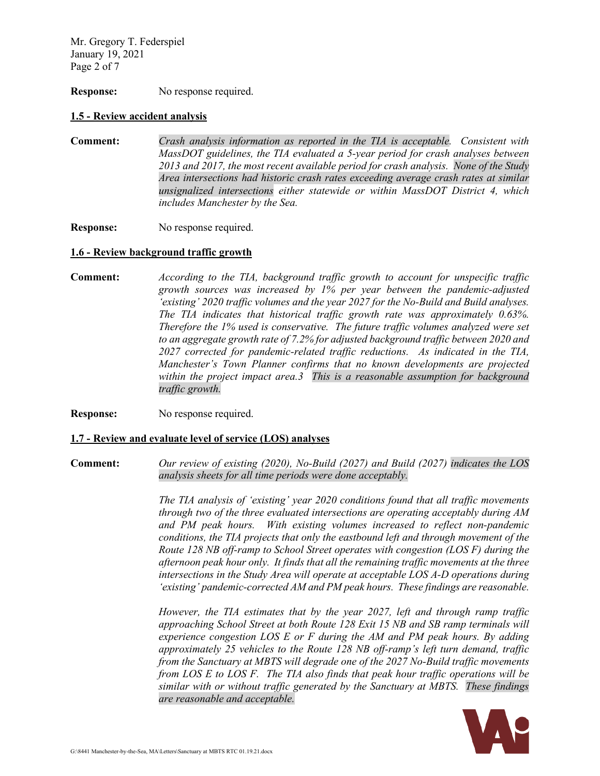Mr. Gregory T. Federspiel January 19, 2021 Page 2 of 7

**Response:** No response required.

## **1.5 - Review accident analysis**

**Comment:** *Crash analysis information as reported in the TIA is acceptable. Consistent with MassDOT guidelines, the TIA evaluated a 5-year period for crash analyses between 2013 and 2017, the most recent available period for crash analysis. None of the Study Area intersections had historic crash rates exceeding average crash rates at similar unsignalized intersections either statewide or within MassDOT District 4, which includes Manchester by the Sea.*

**Response:** No response required.

#### **1.6 - Review background traffic growth**

**Comment:** *According to the TIA, background traffic growth to account for unspecific traffic growth sources was increased by 1% per year between the pandemic-adjusted 'existing' 2020 traffic volumes and the year 2027 for the No-Build and Build analyses. The TIA indicates that historical traffic growth rate was approximately 0.63%. Therefore the 1% used is conservative. The future traffic volumes analyzed were set to an aggregate growth rate of 7.2% for adjusted background traffic between 2020 and 2027 corrected for pandemic-related traffic reductions. As indicated in the TIA, Manchester's Town Planner confirms that no known developments are projected within the project impact area.3 This is a reasonable assumption for background traffic growth.*

**Response:** No response required.

### **1.7 - Review and evaluate level of service (LOS) analyses**

**Comment:** *Our review of existing (2020), No-Build (2027) and Build (2027) indicates the LOS analysis sheets for all time periods were done acceptably.*

> *The TIA analysis of 'existing' year 2020 conditions found that all traffic movements through two of the three evaluated intersections are operating acceptably during AM and PM peak hours. With existing volumes increased to reflect non-pandemic conditions, the TIA projects that only the eastbound left and through movement of the Route 128 NB off-ramp to School Street operates with congestion (LOS F) during the afternoon peak hour only. It finds that all the remaining traffic movements at the three intersections in the Study Area will operate at acceptable LOS A-D operations during 'existing' pandemic-corrected AM and PM peak hours. These findings are reasonable.*

> *However, the TIA estimates that by the year 2027, left and through ramp traffic approaching School Street at both Route 128 Exit 15 NB and SB ramp terminals will experience congestion LOS E or F during the AM and PM peak hours. By adding approximately 25 vehicles to the Route 128 NB off-ramp's left turn demand, traffic from the Sanctuary at MBTS will degrade one of the 2027 No-Build traffic movements from LOS E to LOS F. The TIA also finds that peak hour traffic operations will be similar with or without traffic generated by the Sanctuary at MBTS. These findings are reasonable and acceptable.*

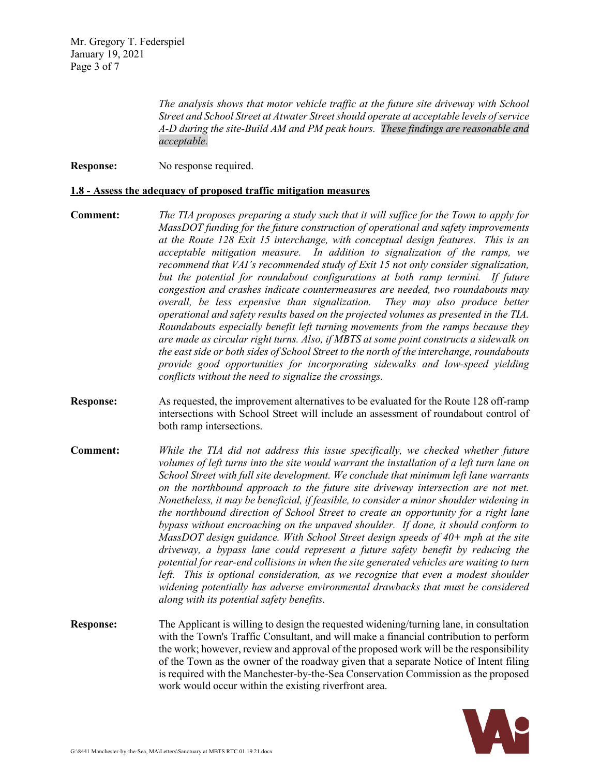*The analysis shows that motor vehicle traffic at the future site driveway with School Street and School Street at Atwater Street should operate at acceptable levels of service A-D during the site-Build AM and PM peak hours. These findings are reasonable and acceptable.*

**Response:** No response required.

#### **1.8 - Assess the adequacy of proposed traffic mitigation measures**

- **Comment:** *The TIA proposes preparing a study such that it will suffice for the Town to apply for MassDOT funding for the future construction of operational and safety improvements at the Route 128 Exit 15 interchange, with conceptual design features. This is an acceptable mitigation measure. In addition to signalization of the ramps, we recommend that VAI's recommended study of Exit 15 not only consider signalization, but the potential for roundabout configurations at both ramp termini. If future congestion and crashes indicate countermeasures are needed, two roundabouts may overall, be less expensive than signalization. They may also produce better operational and safety results based on the projected volumes as presented in the TIA. Roundabouts especially benefit left turning movements from the ramps because they are made as circular right turns. Also, if MBTS at some point constructs a sidewalk on the east side or both sides of School Street to the north of the interchange, roundabouts provide good opportunities for incorporating sidewalks and low-speed yielding conflicts without the need to signalize the crossings.*
- **Response:** As requested, the improvement alternatives to be evaluated for the Route 128 off-ramp intersections with School Street will include an assessment of roundabout control of both ramp intersections.
- **Comment:** *While the TIA did not address this issue specifically, we checked whether future volumes of left turns into the site would warrant the installation of a left turn lane on School Street with full site development. We conclude that minimum left lane warrants on the northbound approach to the future site driveway intersection are not met. Nonetheless, it may be beneficial, if feasible, to consider a minor shoulder widening in the northbound direction of School Street to create an opportunity for a right lane bypass without encroaching on the unpaved shoulder. If done, it should conform to MassDOT design guidance. With School Street design speeds of 40+ mph at the site driveway, a bypass lane could represent a future safety benefit by reducing the potential for rear-end collisions in when the site generated vehicles are waiting to turn left. This is optional consideration, as we recognize that even a modest shoulder widening potentially has adverse environmental drawbacks that must be considered along with its potential safety benefits.*
- **Response:** The Applicant is willing to design the requested widening/turning lane, in consultation with the Town's Traffic Consultant, and will make a financial contribution to perform the work; however, review and approval of the proposed work will be the responsibility of the Town as the owner of the roadway given that a separate Notice of Intent filing is required with the Manchester-by-the-Sea Conservation Commission as the proposed work would occur within the existing riverfront area.

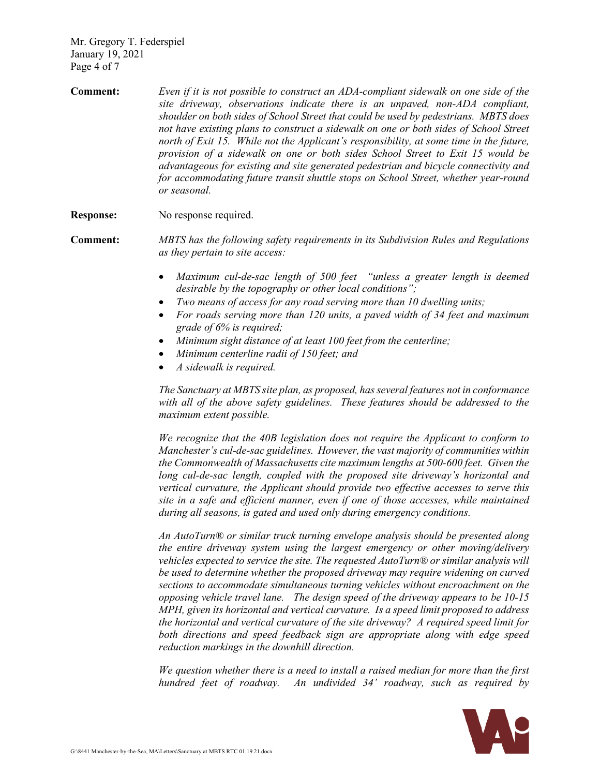Mr. Gregory T. Federspiel January 19, 2021 Page 4 of 7

**Comment:** *Even if it is not possible to construct an ADA-compliant sidewalk on one side of the site driveway, observations indicate there is an unpaved, non-ADA compliant, shoulder on both sides of School Street that could be used by pedestrians. MBTS does not have existing plans to construct a sidewalk on one or both sides of School Street north of Exit 15. While not the Applicant's responsibility, at some time in the future, provision of a sidewalk on one or both sides School Street to Exit 15 would be advantageous for existing and site generated pedestrian and bicycle connectivity and for accommodating future transit shuttle stops on School Street, whether year-round or seasonal.*

**Response:** No response required.

**Comment:** *MBTS has the following safety requirements in its Subdivision Rules and Regulations as they pertain to site access:*

- *Maximum cul-de-sac length of 500 feet "unless a greater length is deemed desirable by the topography or other local conditions";*
- *Two means of access for any road serving more than 10 dwelling units;*
- *For roads serving more than 120 units, a paved width of 34 feet and maximum grade of 6% is required;*
- *Minimum sight distance of at least 100 feet from the centerline;*
- *Minimum centerline radii of 150 feet; and*
- *A sidewalk is required.*

*The Sanctuary at MBTS site plan, as proposed, has several features not in conformance with all of the above safety guidelines. These features should be addressed to the maximum extent possible.*

*We recognize that the 40B legislation does not require the Applicant to conform to Manchester's cul-de-sac guidelines. However, the vast majority of communities within the Commonwealth of Massachusetts cite maximum lengths at 500-600 feet. Given the long cul-de-sac length, coupled with the proposed site driveway's horizontal and vertical curvature, the Applicant should provide two effective accesses to serve this site in a safe and efficient manner, even if one of those accesses, while maintained during all seasons, is gated and used only during emergency conditions.* 

*An AutoTurn® or similar truck turning envelope analysis should be presented along the entire driveway system using the largest emergency or other moving/delivery vehicles expected to service the site. The requested AutoTurn® or similar analysis will be used to determine whether the proposed driveway may require widening on curved sections to accommodate simultaneous turning vehicles without encroachment on the opposing vehicle travel lane. The design speed of the driveway appears to be 10-15 MPH, given its horizontal and vertical curvature. Is a speed limit proposed to address the horizontal and vertical curvature of the site driveway? A required speed limit for both directions and speed feedback sign are appropriate along with edge speed reduction markings in the downhill direction.* 

*We question whether there is a need to install a raised median for more than the first hundred feet of roadway. An undivided 34' roadway, such as required by* 

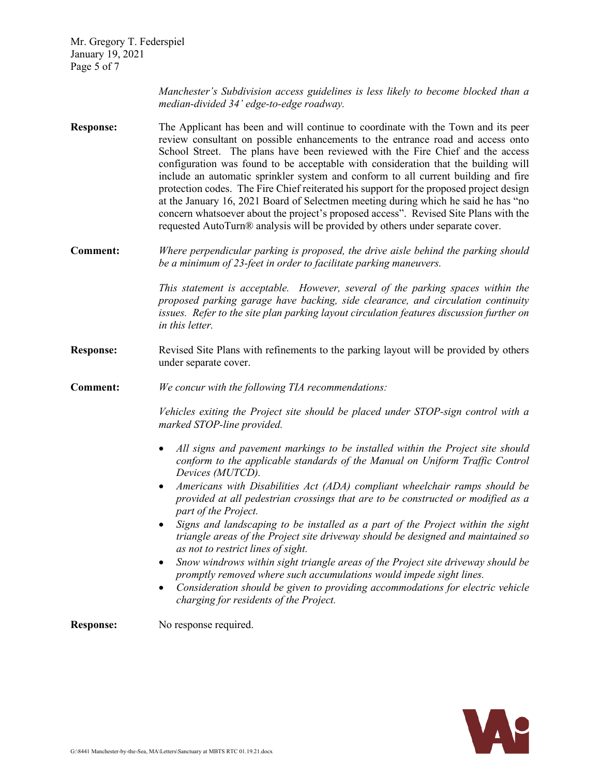*Manchester's Subdivision access guidelines is less likely to become blocked than a median-divided 34' edge-to-edge roadway.*

**Response:** The Applicant has been and will continue to coordinate with the Town and its peer review consultant on possible enhancements to the entrance road and access onto School Street. The plans have been reviewed with the Fire Chief and the access configuration was found to be acceptable with consideration that the building will include an automatic sprinkler system and conform to all current building and fire protection codes. The Fire Chief reiterated his support for the proposed project design at the January 16, 2021 Board of Selectmen meeting during which he said he has "no concern whatsoever about the project's proposed access". Revised Site Plans with the requested AutoTurn® analysis will be provided by others under separate cover.

**Comment:** *Where perpendicular parking is proposed, the drive aisle behind the parking should be a minimum of 23-feet in order to facilitate parking maneuvers.*

> *This statement is acceptable. However, several of the parking spaces within the proposed parking garage have backing, side clearance, and circulation continuity issues. Refer to the site plan parking layout circulation features discussion further on in this letter.*

- **Response:** Revised Site Plans with refinements to the parking layout will be provided by others under separate cover.
- **Comment:** *We concur with the following TIA recommendations:*

*Vehicles exiting the Project site should be placed under STOP-sign control with a marked STOP-line provided.*

- *All signs and pavement markings to be installed within the Project site should conform to the applicable standards of the Manual on Uniform Traffic Control Devices (MUTCD).*
- *Americans with Disabilities Act (ADA) compliant wheelchair ramps should be provided at all pedestrian crossings that are to be constructed or modified as a part of the Project.*
- *Signs and landscaping to be installed as a part of the Project within the sight triangle areas of the Project site driveway should be designed and maintained so as not to restrict lines of sight.*
- *Snow windrows within sight triangle areas of the Project site driveway should be promptly removed where such accumulations would impede sight lines.*
- *Consideration should be given to providing accommodations for electric vehicle charging for residents of the Project.*

**Response:** No response required.

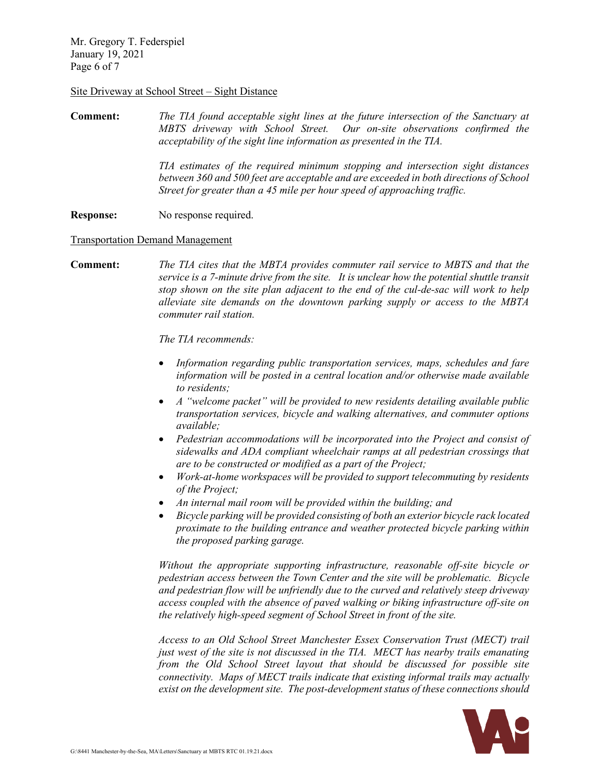Mr. Gregory T. Federspiel January 19, 2021 Page 6 of 7

#### Site Driveway at School Street – Sight Distance

**Comment:** *The TIA found acceptable sight lines at the future intersection of the Sanctuary at MBTS driveway with School Street. Our on-site observations confirmed the acceptability of the sight line information as presented in the TIA.*

> *TIA estimates of the required minimum stopping and intersection sight distances between 360 and 500 feet are acceptable and are exceeded in both directions of School Street for greater than a 45 mile per hour speed of approaching traffic.*

**Response:** No response required.

### Transportation Demand Management

**Comment:** *The TIA cites that the MBTA provides commuter rail service to MBTS and that the service is a 7-minute drive from the site. It is unclear how the potential shuttle transit stop shown on the site plan adjacent to the end of the cul-de-sac will work to help alleviate site demands on the downtown parking supply or access to the MBTA commuter rail station.*

*The TIA recommends:*

- *Information regarding public transportation services, maps, schedules and fare information will be posted in a central location and/or otherwise made available to residents;*
- *A "welcome packet" will be provided to new residents detailing available public transportation services, bicycle and walking alternatives, and commuter options available;*
- *Pedestrian accommodations will be incorporated into the Project and consist of sidewalks and ADA compliant wheelchair ramps at all pedestrian crossings that are to be constructed or modified as a part of the Project;*
- *Work-at-home workspaces will be provided to support telecommuting by residents of the Project;*
- *An internal mail room will be provided within the building; and*
- *Bicycle parking will be provided consisting of both an exterior bicycle rack located proximate to the building entrance and weather protected bicycle parking within the proposed parking garage.*

*Without the appropriate supporting infrastructure, reasonable off-site bicycle or pedestrian access between the Town Center and the site will be problematic. Bicycle and pedestrian flow will be unfriendly due to the curved and relatively steep driveway access coupled with the absence of paved walking or biking infrastructure off-site on the relatively high-speed segment of School Street in front of the site.*

*Access to an Old School Street Manchester Essex Conservation Trust (MECT) trail just west of the site is not discussed in the TIA. MECT has nearby trails emanating from the Old School Street layout that should be discussed for possible site connectivity. Maps of MECT trails indicate that existing informal trails may actually exist on the development site. The post-development status of these connections should*